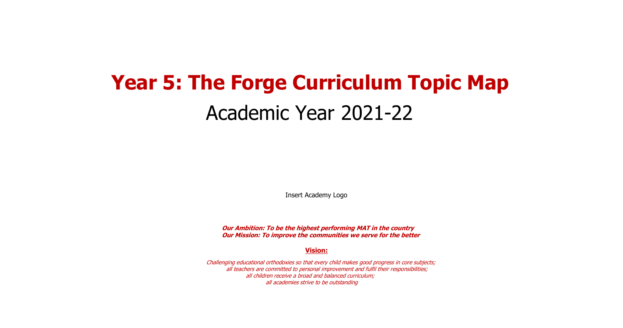# **Year 5: The Forge Curriculum Topic Map** Academic Year 2021-22

Insert Academy Logo

**Our Ambition: To be the highest performing MAT in the country Our Mission: To improve the communities we serve for the better**

**Vision:**

Challenging educational orthodoxies so that every child makes good progress in core subjects; all teachers are committed to personal improvement and fulfil their responsibilities; all children receive a broad and balanced curriculum; all academies strive to be outstanding

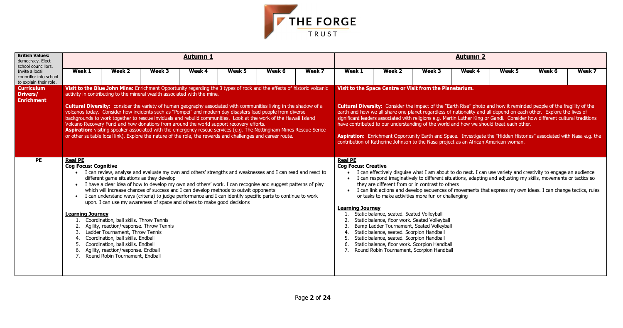

| <b>British Values:</b><br>democracy. Elect<br>school councillors.  |                                                                                                                                  |                                                                                                                                                                                                                                                                                                                                                                                                                                                                                                                                                                                                                                                                                                                                                                                                                                                                                                 |        | <b>Autumn 1</b> |        |        |        |                                                                                                                                                                                                                                                                                                                                                                                                                                                                                                                                                                                                                                                                                                            |                                                                                                                                                                                                                                                                                                                                                                                                                                            |        | <b>Autumn 2</b> |        |                                                                                                                                                                                                                                                                                                                                                 |        |  |  |  |
|--------------------------------------------------------------------|----------------------------------------------------------------------------------------------------------------------------------|-------------------------------------------------------------------------------------------------------------------------------------------------------------------------------------------------------------------------------------------------------------------------------------------------------------------------------------------------------------------------------------------------------------------------------------------------------------------------------------------------------------------------------------------------------------------------------------------------------------------------------------------------------------------------------------------------------------------------------------------------------------------------------------------------------------------------------------------------------------------------------------------------|--------|-----------------|--------|--------|--------|------------------------------------------------------------------------------------------------------------------------------------------------------------------------------------------------------------------------------------------------------------------------------------------------------------------------------------------------------------------------------------------------------------------------------------------------------------------------------------------------------------------------------------------------------------------------------------------------------------------------------------------------------------------------------------------------------------|--------------------------------------------------------------------------------------------------------------------------------------------------------------------------------------------------------------------------------------------------------------------------------------------------------------------------------------------------------------------------------------------------------------------------------------------|--------|-----------------|--------|-------------------------------------------------------------------------------------------------------------------------------------------------------------------------------------------------------------------------------------------------------------------------------------------------------------------------------------------------|--------|--|--|--|
| Invite a local<br>councillor into school<br>to explain their role. | Week 1                                                                                                                           | Week 2                                                                                                                                                                                                                                                                                                                                                                                                                                                                                                                                                                                                                                                                                                                                                                                                                                                                                          | Week 3 | Week 4          | Week 5 | Week 6 | Week 7 | Week 1                                                                                                                                                                                                                                                                                                                                                                                                                                                                                                                                                                                                                                                                                                     | Week 2                                                                                                                                                                                                                                                                                                                                                                                                                                     | Week 3 | Week 4          | Week 5 | Week 6                                                                                                                                                                                                                                                                                                                                          | Week 7 |  |  |  |
| <b>Curriculum</b><br>Drivers/<br><b>Enrichment</b>                 |                                                                                                                                  | Visit to the Blue John Mine: Enrichment Opportunity regarding the 3 types of rock and the effects of historic volcanic<br>activity in contributing to the mineral wealth associated with the mine.<br><b>Cultural Diversity:</b> consider the variety of human geography associated with communities living in the shadow of a<br>volcanos today. Consider how incidents such as "Pompei" and modern day disasters lead people from diverse<br>backgrounds to work together to rescue inviduals and rebuild communities. Look at the work of the Hawaii Island<br>Volcano Recovery Fund and how donations from around the world support recovery efforts.<br>Aspiration: visiting speaker associated with the emergency rescue services (e.g. The Nottingham Mines Rescue Serice<br>or other suitable local link). Explore the nature of the role, the rewards and challenges and career route. |        |                 |        |        |        | <b>Cultural Diversity:</b> Consider the impact of the "Earth Rise" photo and how it reminded people of the fragility of the<br>earth and how we all share one planet regardless of nationality and all depend on each other. Explore the lives of<br>significant leaders associated with religions e.g. Martin Luther King or Gandi. Consider how different cultural traditions<br>have contributed to our understanding of the world and how we should treat each other.<br>Aspiration: Enrichment Opportunity Earth and Space. Investigate the "Hidden Histories" associated with Nasa e.g. the<br>contribution of Katherine Johnson to the Nasa project as an African American woman.<br><b>Real PE</b> |                                                                                                                                                                                                                                                                                                                                                                                                                                            |        |                 |        |                                                                                                                                                                                                                                                                                                                                                 |        |  |  |  |
| PE                                                                 | <b>Real PE</b><br><b>Cog Focus: Cognitive</b><br>$\bullet$<br>$\bullet$<br><b>Learning Journey</b><br>3.<br>4.<br>5.<br>6.<br>7. | I can review, analyse and evaluate my own and others' strengths and weaknesses and I can read and react to<br>different game situations as they develop<br>I have a clear idea of how to develop my own and others' work. I can recognise and suggest patterns of play<br>which will increase chances of success and I can develop methods to outwit opponents<br>I can understand ways (criteria) to judge performance and I can identify specific parts to continue to work<br>upon. I can use my awareness of space and others to make good decisions<br>Coordination, ball skills. Throw Tennis<br>Agility, reaction/response. Throw Tennis<br>Ladder Tournament, Throw Tennis<br>Coordination, ball skills. Endball<br>Coordination, ball skills. Endball<br>Agility, reaction/response. Endball<br>Round Robin Tournament, Endball                                                        |        |                 |        |        |        | <b>Cog Focus: Creative</b><br>$\bullet$<br><b>Learning Journey</b><br>6.                                                                                                                                                                                                                                                                                                                                                                                                                                                                                                                                                                                                                                   | they are different from or in contrast to others<br>or tasks to make activities more fun or challenging<br>Static balance, seated. Seated Volleyball<br>Static balance, floor work. Seated Volleyball<br>Bump Ladder Tournament, Seated Volleyball<br>Static balance, seated. Scorpion Handball<br>Static balance, seated. Scorpion Handball<br>Static balance, floor work. Scorpion Handball<br>Round Robin Tournament, Scorpion Handball |        |                 |        | I can effectively disguise what I am about to do next. I can use variety and creativity to engage an audience<br>I can respond imaginatively to different situations, adapting and adjusting my skills, movements or tactics so<br>I can link actions and develop sequences of movements that express my own ideas. I can change tactics, rules |        |  |  |  |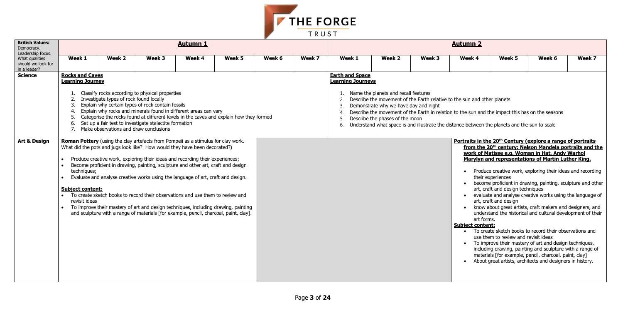

| <b>British Values:</b><br>Democracy.<br>Leadership focus. |                                                                                       |                                                                                   |                                                                                                                                                                                                                                                                                                                                                                                                                                                                                                                                                                                                                                                                                                   | <b>Autumn 1</b> |        |        |        |                                                                                                         |                                                                                                                  |        | <b>Autumn 2</b>                                                                                                                                                                                                                                                               |                                                                                                                        |                                                                                                                                                                                                                                                                                                                                                                                                                                                                                                                                                                                                                                                                                                                                                                                                                                                                                           |        |
|-----------------------------------------------------------|---------------------------------------------------------------------------------------|-----------------------------------------------------------------------------------|---------------------------------------------------------------------------------------------------------------------------------------------------------------------------------------------------------------------------------------------------------------------------------------------------------------------------------------------------------------------------------------------------------------------------------------------------------------------------------------------------------------------------------------------------------------------------------------------------------------------------------------------------------------------------------------------------|-----------------|--------|--------|--------|---------------------------------------------------------------------------------------------------------|------------------------------------------------------------------------------------------------------------------|--------|-------------------------------------------------------------------------------------------------------------------------------------------------------------------------------------------------------------------------------------------------------------------------------|------------------------------------------------------------------------------------------------------------------------|-------------------------------------------------------------------------------------------------------------------------------------------------------------------------------------------------------------------------------------------------------------------------------------------------------------------------------------------------------------------------------------------------------------------------------------------------------------------------------------------------------------------------------------------------------------------------------------------------------------------------------------------------------------------------------------------------------------------------------------------------------------------------------------------------------------------------------------------------------------------------------------------|--------|
| What qualities<br>should we look for<br>in a leader?      | Week 1                                                                                | Week 2                                                                            | Week 3                                                                                                                                                                                                                                                                                                                                                                                                                                                                                                                                                                                                                                                                                            | Week 4          | Week 5 | Week 6 | Week 7 | Week 1                                                                                                  | Week 2                                                                                                           | Week 3 | Week 4                                                                                                                                                                                                                                                                        | Week 5                                                                                                                 | Week 6                                                                                                                                                                                                                                                                                                                                                                                                                                                                                                                                                                                                                                                                                                                                                                                                                                                                                    | Week 7 |
| <b>Science</b>                                            | <b>Rocks and Caves</b><br><b>Learning Journey</b><br>2.<br>3.<br>4.<br>5.<br>6.<br>7. | Investigate types of rock found locally<br>Make observations and draw conclusions | Classify rocks according to physical properties<br>Explain why certain types of rock contain fossils<br>Explain why rocks and minerals found in different areas can vary<br>Categorise the rocks found at different levels in the caves and explain how they formed<br>Set up a fair test to investigate stalactite formation                                                                                                                                                                                                                                                                                                                                                                     |                 |        |        |        | <b>Earth and Space</b><br><b>Learning Journeys</b><br>$\mathbf{3}$<br>$\boldsymbol{\Lambda}$<br>5<br>6. | Name the planets and recall features<br>Demonstrate why we have day and night<br>Describe the phases of the moon |        | Describe the movement of the Earth relative to the sun and other planets<br>Describe the movement of the Earth in relation to the sun and the impact this has on the seasons<br>Understand what space is and illustrate the distance between the planets and the sun to scale |                                                                                                                        |                                                                                                                                                                                                                                                                                                                                                                                                                                                                                                                                                                                                                                                                                                                                                                                                                                                                                           |        |
| <b>Art &amp; Design</b>                                   | techniques;<br><b>Subject content:</b><br>revisit ideas                               |                                                                                   | <b>Roman Pottery</b> (using the clay artefacts from Pompeii as a stimulus for clay work.<br>What did the pots and jugs look like? How would they have been decorated?)<br>Produce creative work, exploring their ideas and recording their experiences;<br>Become proficient in drawing, painting, sculpture and other art, craft and design<br>Evaluate and analyse creative works using the language of art, craft and design.<br>To create sketch books to record their observations and use them to review and<br>To improve their mastery of art and design techniques, including drawing, painting<br>and sculpture with a range of materials [for example, pencil, charcoal, paint, clay]. |                 |        |        |        |                                                                                                         |                                                                                                                  |        | art forms.<br><b>Subject content:</b>                                                                                                                                                                                                                                         | their experiences<br>art, craft and design techniques<br>art, craft and design<br>use them to review and revisit ideas | Portraits in the 20 <sup>th</sup> Century (explore a range of portraits<br>from the 20 <sup>th</sup> century: Nelson Mandela portraits and the<br>work of Matisse e.g. Woman in Hat, Andy Warhol<br>Marylyn and representations of Martin Luther King.<br>Produce creative work, exploring their ideas and recording<br>become proficient in drawing, painting, sculpture and other<br>evaluate and analyse creative works using the language of<br>know about great artists, craft makers and designers, and<br>understand the historical and cultural development of their<br>• To create sketch books to record their observations and<br>• To improve their mastery of art and design techniques,<br>including drawing, painting and sculpture with a range of<br>materials [for example, pencil, charcoal, paint, clay]<br>About great artists, architects and designers in history. |        |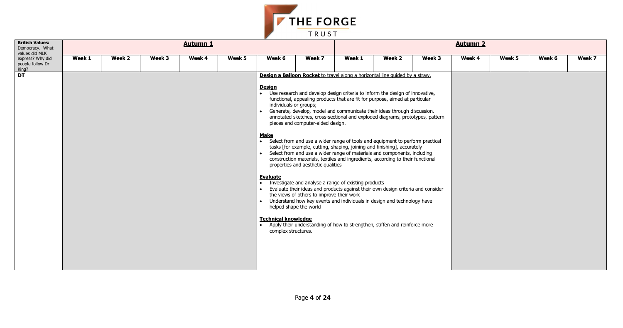| Week 5 | Week 6 | Week 7 |
|--------|--------|--------|
|        |        |        |
|        |        |        |
|        |        |        |
|        |        |        |
|        |        |        |
|        |        |        |
|        |        |        |
|        |        |        |
|        |        |        |
|        |        |        |
|        |        |        |
|        |        |        |
|        |        |        |
|        |        |        |



| <b>British Values:</b><br>Democracy. What<br>values did MLK |        |        |        | <b>Autumn 1</b> |        |                                                                                                                                                                                                                                        |                                                                                                                      |                                                                                                                                                                                                                                                                                                                                                                                                                                                                                                                                                                                                                                                                                                                                                                                                                                                                                                                                                                                                                                                 |        |        | <b>Autumn 2</b> |        |        |        |
|-------------------------------------------------------------|--------|--------|--------|-----------------|--------|----------------------------------------------------------------------------------------------------------------------------------------------------------------------------------------------------------------------------------------|----------------------------------------------------------------------------------------------------------------------|-------------------------------------------------------------------------------------------------------------------------------------------------------------------------------------------------------------------------------------------------------------------------------------------------------------------------------------------------------------------------------------------------------------------------------------------------------------------------------------------------------------------------------------------------------------------------------------------------------------------------------------------------------------------------------------------------------------------------------------------------------------------------------------------------------------------------------------------------------------------------------------------------------------------------------------------------------------------------------------------------------------------------------------------------|--------|--------|-----------------|--------|--------|--------|
| express? Why did<br>people follow Dr<br>King?               | Week 1 | Week 2 | Week 3 | Week 4          | Week 5 | Week 6                                                                                                                                                                                                                                 | Week 7                                                                                                               | Week 1                                                                                                                                                                                                                                                                                                                                                                                                                                                                                                                                                                                                                                                                                                                                                                                                                                                                                                                                                                                                                                          | Week 2 | Week 3 | Week 4          | Week 5 | Week 6 | Week 7 |
| <b>DT</b>                                                   |        |        |        |                 |        | <b>Design</b><br>individuals or groups;<br>$\bullet$<br><b>Make</b><br>$\bullet$<br><b>Evaluate</b><br>$\bullet$<br>$\bullet$<br>$\bullet$<br>helped shape the world<br><b>Technical knowledge</b><br>$\bullet$<br>complex structures. | pieces and computer-aided design.<br>properties and aesthetic qualities<br>the views of others to improve their work | Design a Balloon Rocket to travel along a horizontal line quided by a straw.<br>• Use research and develop design criteria to inform the design of innovative,<br>functional, appealing products that are fit for purpose, aimed at particular<br>Generate, develop, model and communicate their ideas through discussion,<br>annotated sketches, cross-sectional and exploded diagrams, prototypes, pattern<br>• Select from and use a wider range of tools and equipment to perform practical<br>tasks [for example, cutting, shaping, joining and finishing], accurately<br>Select from and use a wider range of materials and components, including<br>construction materials, textiles and ingredients, according to their functional<br>Investigate and analyse a range of existing products<br>Evaluate their ideas and products against their own design criteria and consider<br>Understand how key events and individuals in design and technology have<br>Apply their understanding of how to strengthen, stiffen and reinforce more |        |        |                 |        |        |        |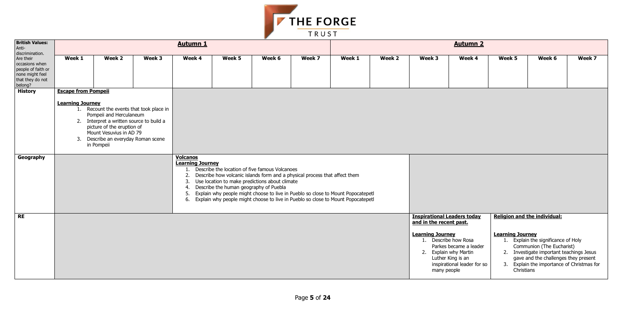- 
- 
- 



|                                                                                                     |                                                       |                                                                                                                                                                                                                               |        |                                                 |                                        | $\overline{\phantom{a}}$                                                                            |                                                                                                                                                                                                                                                       |        |        |                                                                                                                                                          |                                                                            |                                       |                                                                                                                                                                                                                                    |        |
|-----------------------------------------------------------------------------------------------------|-------------------------------------------------------|-------------------------------------------------------------------------------------------------------------------------------------------------------------------------------------------------------------------------------|--------|-------------------------------------------------|----------------------------------------|-----------------------------------------------------------------------------------------------------|-------------------------------------------------------------------------------------------------------------------------------------------------------------------------------------------------------------------------------------------------------|--------|--------|----------------------------------------------------------------------------------------------------------------------------------------------------------|----------------------------------------------------------------------------|---------------------------------------|------------------------------------------------------------------------------------------------------------------------------------------------------------------------------------------------------------------------------------|--------|
| <b>British Values:</b><br>Anti-<br>discrimination.                                                  |                                                       |                                                                                                                                                                                                                               |        | <b>Autumn 1</b>                                 |                                        |                                                                                                     |                                                                                                                                                                                                                                                       |        |        |                                                                                                                                                          | <b>Autumn 2</b>                                                            |                                       |                                                                                                                                                                                                                                    |        |
| Are their<br>occasions when<br>people of faith or<br>none might feel<br>that they do not<br>belong? | Week 1                                                | Week 2                                                                                                                                                                                                                        | Week 3 | Week 4                                          | Week 5                                 | Week 6                                                                                              | Week 7                                                                                                                                                                                                                                                | Week 1 | Week 2 | Week 3                                                                                                                                                   | Week 4                                                                     | Week 5                                | Week 6                                                                                                                                                                                                                             | Week 7 |
| <b>History</b><br>Geography                                                                         | <b>Escape from Pompeii</b><br><b>Learning Journey</b> | 1. Recount the events that took place in<br>Pompeii and Herculaneum<br>2. Interpret a written source to build a<br>picture of the eruption of<br>Mount Vesuvius in AD 79<br>3. Describe an everyday Roman scene<br>in Pompeii |        | <b>Volcanos</b>                                 |                                        |                                                                                                     |                                                                                                                                                                                                                                                       |        |        |                                                                                                                                                          |                                                                            |                                       |                                                                                                                                                                                                                                    |        |
|                                                                                                     |                                                       |                                                                                                                                                                                                                               |        | <b>Learning Journey</b><br>2.<br>3.<br>4.<br>5. | Describe the human geography of Puebla | 1. Describe the location of five famous Volcanoes<br>Use location to make predictions about climate | Describe how volcanic islands form and a physical process that affect them<br>Explain why people might choose to live in Pueblo so close to Mount Popocatepetl<br>6. Explain why people might choose to live in Pueblo so close to Mount Popocatepetl |        |        |                                                                                                                                                          |                                                                            |                                       |                                                                                                                                                                                                                                    |        |
| RE                                                                                                  |                                                       |                                                                                                                                                                                                                               |        |                                                 |                                        |                                                                                                     |                                                                                                                                                                                                                                                       |        |        | <b>Inspirational Leaders today</b><br>and in the recent past.<br><b>Learning Journey</b><br>1. Describe how Rosa<br>2. Explain why Martin<br>many people | Parkes became a leader<br>Luther King is an<br>inspirational leader for so | <b>Learning Journey</b><br>Christians | Religion and the individual:<br>1. Explain the significance of Holy<br>Communion (The Eucharist)<br>2. Investigate important teachings Jesus<br>gave and the challenges they present<br>3. Explain the importance of Christmas for |        |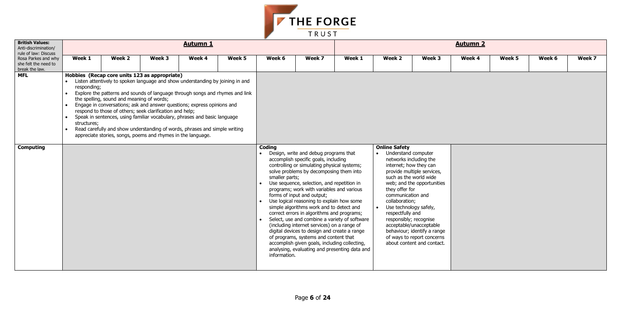| Week 5 | Week 6 | Week 7 |
|--------|--------|--------|
|        |        |        |
|        |        |        |
|        |        |        |
|        |        |        |
|        |        |        |
|        |        |        |
|        |        |        |
|        |        |        |
|        |        |        |
|        |        |        |
|        |        |        |
|        |        |        |
|        |        |        |
|        |        |        |
|        |        |        |



| <b>British Values:</b><br>Anti-discrimination/<br>rule of law: Discuss |                                                                   |                                           |                                                                                                                                                                                                                                                                                                                                                                                                                                                                                                                                                                                    | <b>Autumn 1</b> |        |                                                       |                                                                                                                                                                                                                                                                                                                                                                                                                                                                                                                                                                                                                                                                                                                                    |        |                                                                                                                                                    |                                                                                                                                                                                                                                                                                        | <b>Autumn 2</b> |        |        |        |
|------------------------------------------------------------------------|-------------------------------------------------------------------|-------------------------------------------|------------------------------------------------------------------------------------------------------------------------------------------------------------------------------------------------------------------------------------------------------------------------------------------------------------------------------------------------------------------------------------------------------------------------------------------------------------------------------------------------------------------------------------------------------------------------------------|-----------------|--------|-------------------------------------------------------|------------------------------------------------------------------------------------------------------------------------------------------------------------------------------------------------------------------------------------------------------------------------------------------------------------------------------------------------------------------------------------------------------------------------------------------------------------------------------------------------------------------------------------------------------------------------------------------------------------------------------------------------------------------------------------------------------------------------------------|--------|----------------------------------------------------------------------------------------------------------------------------------------------------|----------------------------------------------------------------------------------------------------------------------------------------------------------------------------------------------------------------------------------------------------------------------------------------|-----------------|--------|--------|--------|
| Rosa Parkes and why<br>she felt the need to<br>break the law.          | Week 1                                                            | Week 2                                    | Week 3                                                                                                                                                                                                                                                                                                                                                                                                                                                                                                                                                                             | Week 4          | Week 5 | Week 6                                                | Week 7                                                                                                                                                                                                                                                                                                                                                                                                                                                                                                                                                                                                                                                                                                                             | Week 1 | Week 2                                                                                                                                             | Week 3                                                                                                                                                                                                                                                                                 | Week 4          | Week 5 | Week 6 | Week 7 |
| <b>MFL</b>                                                             | responding;<br>$\bullet$<br>$\bullet$<br>structures;<br>$\bullet$ | the spelling, sound and meaning of words; | Hobbies (Recap core units 123 as appropriate)<br>Listen attentively to spoken language and show understanding by joining in and<br>Explore the patterns and sounds of language through songs and rhymes and link<br>Engage in conversations; ask and answer questions; express opinions and<br>respond to those of others; seek clarification and help;<br>Speak in sentences, using familiar vocabulary, phrases and basic language<br>Read carefully and show understanding of words, phrases and simple writing<br>appreciate stories, songs, poems and rhymes in the language. |                 |        |                                                       |                                                                                                                                                                                                                                                                                                                                                                                                                                                                                                                                                                                                                                                                                                                                    |        |                                                                                                                                                    |                                                                                                                                                                                                                                                                                        |                 |        |        |        |
| <b>Computing</b>                                                       |                                                                   |                                           |                                                                                                                                                                                                                                                                                                                                                                                                                                                                                                                                                                                    |                 |        | Coding<br>smaller parts;<br>$\bullet$<br>information. | Design, write and debug programs that<br>accomplish specific goals, including<br>controlling or simulating physical systems;<br>solve problems by decomposing them into<br>Use sequence, selection, and repetition in<br>programs; work with variables and various<br>forms of input and output;<br>Use logical reasoning to explain how some<br>simple algorithms work and to detect and<br>correct errors in algorithms and programs;<br>Select, use and combine a variety of software<br>(including internet services) on a range of<br>digital devices to design and create a range<br>of programs, systems and content that<br>accomplish given goals, including collecting,<br>analysing, evaluating and presenting data and |        | <b>Online Safety</b><br>Understand computer<br>they offer for<br>communication and<br>collaboration;<br>respectfully and<br>responsibly; recognise | networks including the<br>internet; how they can<br>provide multiple services,<br>such as the world wide<br>web; and the opportunities<br>Use technology safely,<br>acceptable/unacceptable<br>behaviour; identify a range<br>of ways to report concerns<br>about content and contact. |                 |        |        |        |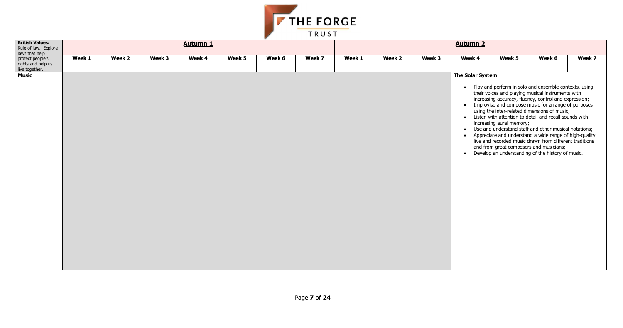

| <b>British Values:</b><br>Rule of law. Explore<br>laws that help | <b>Autumn 1</b> |        |        |        |        |        |        |        | <b>Autumn 2</b> |        |                                            |                          |                                                                                                                                                                                                                                                                                                                                                                                                                                                                                                                                                                                                                          |        |  |  |
|------------------------------------------------------------------|-----------------|--------|--------|--------|--------|--------|--------|--------|-----------------|--------|--------------------------------------------|--------------------------|--------------------------------------------------------------------------------------------------------------------------------------------------------------------------------------------------------------------------------------------------------------------------------------------------------------------------------------------------------------------------------------------------------------------------------------------------------------------------------------------------------------------------------------------------------------------------------------------------------------------------|--------|--|--|
| protect people's<br>rights and help us<br>live together.         | Week 1          | Week 2 | Week 3 | Week 4 | Week 5 | Week 6 | Week 7 | Week 1 | Week 2          | Week 3 | Week 4                                     | Week 5                   | Week 6                                                                                                                                                                                                                                                                                                                                                                                                                                                                                                                                                                                                                   | Week 7 |  |  |
| <b>Music</b>                                                     |                 |        |        |        |        |        |        |        |                 |        | The Solar System<br>$\bullet$<br>$\bullet$ | increasing aural memory; | • Play and perform in solo and ensemble contexts, using<br>their voices and playing musical instruments with<br>increasing accuracy, fluency, control and expression;<br>• Improvise and compose music for a range of purposes<br>using the inter-related dimensions of music;<br>• Listen with attention to detail and recall sounds with<br>Use and understand staff and other musical notations;<br>Appreciate and understand a wide range of high-quality<br>live and recorded music drawn from different traditions<br>and from great composers and musicians;<br>Develop an understanding of the history of music. |        |  |  |

| lunni 4             |                                                                                                                                                                                                                                                                                                                                                                                                                                                                                                                                                                                                                                                |        |        |
|---------------------|------------------------------------------------------------------------------------------------------------------------------------------------------------------------------------------------------------------------------------------------------------------------------------------------------------------------------------------------------------------------------------------------------------------------------------------------------------------------------------------------------------------------------------------------------------------------------------------------------------------------------------------------|--------|--------|
| Veek 4              | Week 5                                                                                                                                                                                                                                                                                                                                                                                                                                                                                                                                                                                                                                         | Week 6 | Week 7 |
| <b>Solar System</b> |                                                                                                                                                                                                                                                                                                                                                                                                                                                                                                                                                                                                                                                |        |        |
| $\bullet$           | Play and perform in solo and ensemble contexts, using<br>their voices and playing musical instruments with<br>increasing accuracy, fluency, control and expression;<br>Improvise and compose music for a range of purposes<br>using the inter-related dimensions of music;<br>Listen with attention to detail and recall sounds with<br>increasing aural memory;<br>Use and understand staff and other musical notations:<br>Appreciate and understand a wide range of high-quality<br>live and recorded music drawn from different traditions<br>and from great composers and musicians;<br>Develop an understanding of the history of music. |        |        |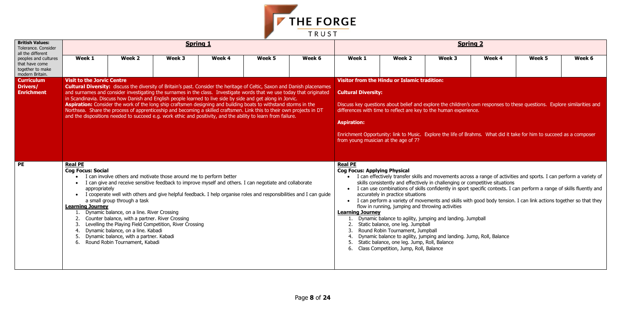

| <b>British Values:</b><br>Tolerance. Consider<br>all the different            |                                                                                                                             |                                                                                                                                                                                                                                                                                                                                                                                    |        | <b>Spring 1</b>                                                                                                                                                                                                                                                                                                                                                                                                                                                                                                                                                                                                                                                                                                                         |        |        |                                                                                                                                                                                                                                                                                                                                                                                                                                                                          |                                                                                                                                                                                                                                                          |                                                                                                                                                                                                                   | <b>Spring 2</b> |                                                                                                                                                                                                                                                                                                                                                                      |        |  |  |  |
|-------------------------------------------------------------------------------|-----------------------------------------------------------------------------------------------------------------------------|------------------------------------------------------------------------------------------------------------------------------------------------------------------------------------------------------------------------------------------------------------------------------------------------------------------------------------------------------------------------------------|--------|-----------------------------------------------------------------------------------------------------------------------------------------------------------------------------------------------------------------------------------------------------------------------------------------------------------------------------------------------------------------------------------------------------------------------------------------------------------------------------------------------------------------------------------------------------------------------------------------------------------------------------------------------------------------------------------------------------------------------------------------|--------|--------|--------------------------------------------------------------------------------------------------------------------------------------------------------------------------------------------------------------------------------------------------------------------------------------------------------------------------------------------------------------------------------------------------------------------------------------------------------------------------|----------------------------------------------------------------------------------------------------------------------------------------------------------------------------------------------------------------------------------------------------------|-------------------------------------------------------------------------------------------------------------------------------------------------------------------------------------------------------------------|-----------------|----------------------------------------------------------------------------------------------------------------------------------------------------------------------------------------------------------------------------------------------------------------------------------------------------------------------------------------------------------------------|--------|--|--|--|
| peoples and cultures<br>that have come<br>together to make<br>modern Britain. | Week 1                                                                                                                      | Week 2                                                                                                                                                                                                                                                                                                                                                                             | Week 3 | Week 4                                                                                                                                                                                                                                                                                                                                                                                                                                                                                                                                                                                                                                                                                                                                  | Week 5 | Week 6 | Week 1                                                                                                                                                                                                                                                                                                                                                                                                                                                                   | Week 2                                                                                                                                                                                                                                                   | Week 3                                                                                                                                                                                                            | Week 4          | Week 5                                                                                                                                                                                                                                                                                                                                                               | Week 6 |  |  |  |
| <b>Curriculum</b><br><b>Drivers/</b><br><b>Enrichment</b>                     | <b>Visit to the Jorvic Centre</b>                                                                                           |                                                                                                                                                                                                                                                                                                                                                                                    |        | <b>Cultural Diversity:</b> discuss the diversity of Britain's past. Consider the heritage of Celtic, Saxon and Danish placenames<br>and surnames and consider investigating the surnames in the class. Investigate words that we use today that originated<br>in Scandinavia. Discuss how Danish and English people learned to live side by side and get along in Jorvic.<br>Aspiration: Consider the work of the long ship craftsmen designing and building boats to withstand storms in the<br>Northsea. Share the process of apprenticeship and becoming a skilled craftsmen. Link this to their own projects in DT<br>and the dispositions needed to succeed e.g. work ethic and positivity, and the ability to learn from failure. |        |        | <b>Visitor from the Hindu or Islamic tradition:</b><br><b>Cultural Diversity:</b><br>Discuss key questions about belief and explore the children's own responses to these questions. Explore similarities and<br>differences with time to reflect are key to the human experience.<br><b>Aspiration:</b><br>Enrichment Opportunity: link to Music. Explore the life of Brahms. What did it take for him to succeed as a composer<br>from young musician at the age of 7? |                                                                                                                                                                                                                                                          |                                                                                                                                                                                                                   |                 |                                                                                                                                                                                                                                                                                                                                                                      |        |  |  |  |
| <b>PE</b>                                                                     | <b>Real PE</b><br><b>Cog Focus: Social</b><br>$\bullet$<br>appropriately<br><b>Learning Journey</b><br>$\overline{4}$<br>6. | I can involve others and motivate those around me to perform better<br>a small group through a task<br>Dynamic balance, on a line. River Crossing<br>Counter balance, with a partner. River Crossing<br>Levelling the Playing Field Competition, River Crossing<br>Dynamic balance, on a line. Kabadi<br>Dynamic balance, with a partner. Kabadi<br>Round Robin Tournament, Kabadi |        | I can give and receive sensitive feedback to improve myself and others. I can negotiate and collaborate<br>• I cooperate well with others and give helpful feedback. I help organise roles and responsibilities and I can guide                                                                                                                                                                                                                                                                                                                                                                                                                                                                                                         |        |        | <b>Real PE</b><br><b>Cog Focus: Applying Physical</b><br><b>Learning Journey</b><br>6.                                                                                                                                                                                                                                                                                                                                                                                   | accurately in practice situations<br>flow in running, jumping and throwing activities<br>Static balance, one leg. Jumpball<br>Round Robin Tournament, Jumpball<br>Static balance, one leg. Jump, Roll, Balance<br>Class Competition, Jump, Roll, Balance | skills consistently and effectively in challenging or competitive situations<br>Dynamic balance to agility, jumping and landing. Jumpball<br>Dynamic balance to agility, jumping and landing. Jump, Roll, Balance |                 | I can effectively transfer skills and movements across a range of activities and sports. I can perform a variety of<br>• I can use combinations of skills confidently in sport specific contexts. I can perform a range of skills fluently and<br>• I can perform a variety of movements and skills with good body tension. I can link actions together so that they |        |  |  |  |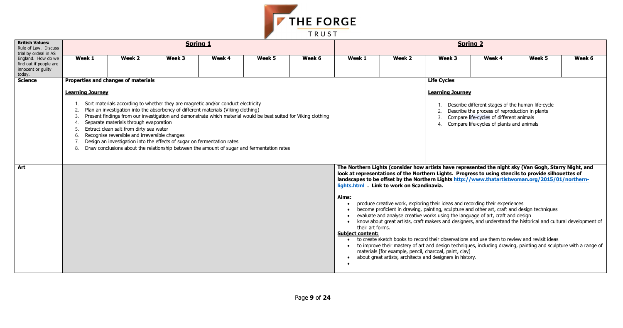

| <b>British Values:</b><br>Rule of Law. Discuss<br>trial by ordeal in AS      |                                                                                                                                                                                                                                                                                                                                                                                                                                                                                                                                                                                                                                                                                                                                                                                                                                                                                                                                                                                                                                                                                                                                                                                          |                                                                                                                                                                                                                                                             |        | <b>Spring 1</b>                                                                                                                                                                                                                                                                                                                                                                         |        |        |        |        |                                                                 | <b>Spring 2</b>                                                                                                                                                                              |        |        |
|------------------------------------------------------------------------------|------------------------------------------------------------------------------------------------------------------------------------------------------------------------------------------------------------------------------------------------------------------------------------------------------------------------------------------------------------------------------------------------------------------------------------------------------------------------------------------------------------------------------------------------------------------------------------------------------------------------------------------------------------------------------------------------------------------------------------------------------------------------------------------------------------------------------------------------------------------------------------------------------------------------------------------------------------------------------------------------------------------------------------------------------------------------------------------------------------------------------------------------------------------------------------------|-------------------------------------------------------------------------------------------------------------------------------------------------------------------------------------------------------------------------------------------------------------|--------|-----------------------------------------------------------------------------------------------------------------------------------------------------------------------------------------------------------------------------------------------------------------------------------------------------------------------------------------------------------------------------------------|--------|--------|--------|--------|-----------------------------------------------------------------|----------------------------------------------------------------------------------------------------------------------------------------------------------------------------------------------|--------|--------|
| England. How do we<br>find out if people are<br>innocent or guilty<br>today. | Week 1                                                                                                                                                                                                                                                                                                                                                                                                                                                                                                                                                                                                                                                                                                                                                                                                                                                                                                                                                                                                                                                                                                                                                                                   | Week 2                                                                                                                                                                                                                                                      | Week 3 | Week 4                                                                                                                                                                                                                                                                                                                                                                                  | Week 5 | Week 6 | Week 1 | Week 2 | Week 3                                                          | Week 4                                                                                                                                                                                       | Week 5 | Week 6 |
| <b>Science</b>                                                               | <b>Learning Journey</b><br>2.<br>8.                                                                                                                                                                                                                                                                                                                                                                                                                                                                                                                                                                                                                                                                                                                                                                                                                                                                                                                                                                                                                                                                                                                                                      | <b>Properties and changes of materials</b><br>Separate materials through evaporation<br>Extract clean salt from dirty sea water<br>Recognise reversible and irreversible changes<br>Design an investigation into the effects of sugar on fermentation rates |        | Sort materials according to whether they are magnetic and/or conduct electricity<br>Plan an investigation into the absorbency of different materials (Viking clothing)<br>Present findings from our investigation and demonstrate which material would be best suited for Viking clothing<br>Draw conclusions about the relationship between the amount of sugar and fermentation rates |        |        |        |        | <b>Life Cycles</b><br><b>Learning Journey</b><br>$\overline{4}$ | Describe different stages of the human life-cycle<br>Describe the process of reproduction in plants<br>Compare life-cycles of different animals<br>Compare life-cycles of plants and animals |        |        |
| Art                                                                          | The Northern Lights (consider how artists have represented the night sky (Van Gogh, Starry Night, and<br>look at representations of the Northern Lights. Progress to using stencils to provide silhouettes of<br>landscapes to be offset by the Northern Lights http://www.thatartistwoman.org/2015/01/northern-<br>lights.html Link to work on Scandinavia.<br><u>Aims:</u><br>produce creative work, exploring their ideas and recording their experiences<br>$\bullet$<br>become proficient in drawing, painting, sculpture and other art, craft and design techniques<br>evaluate and analyse creative works using the language of art, craft and design<br>know about great artists, craft makers and designers, and understand the historical and cultural development of<br>their art forms.<br><b>Subject content:</b><br>to create sketch books to record their observations and use them to review and revisit ideas<br>• to improve their mastery of art and design techniques, including drawing, painting and sculpture with a range of<br>materials [for example, pencil, charcoal, paint, clay]<br>about great artists, architects and designers in history.<br>$\bullet$ |                                                                                                                                                                                                                                                             |        |                                                                                                                                                                                                                                                                                                                                                                                         |        |        |        |        |                                                                 |                                                                                                                                                                                              |        |        |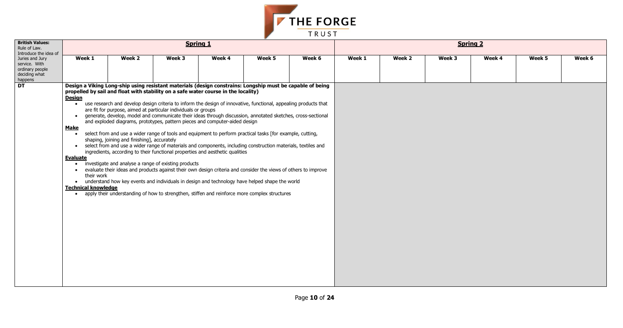

| <b>British Values:</b><br>Rule of Law.<br>Introduce the idea of                 |                                                                                                                                                                                                                                                                                                                                                                              |                                             | <b>Spring 1</b>                                                                                                                                                                                                                                                                                                                                                                                                                                                                                                                                                                                                                                                                                                                                                                                                                                                                                                                                                                                                                                                                     |        |        |        |        |        | <b>Spring 2</b> |        |        |        |
|---------------------------------------------------------------------------------|------------------------------------------------------------------------------------------------------------------------------------------------------------------------------------------------------------------------------------------------------------------------------------------------------------------------------------------------------------------------------|---------------------------------------------|-------------------------------------------------------------------------------------------------------------------------------------------------------------------------------------------------------------------------------------------------------------------------------------------------------------------------------------------------------------------------------------------------------------------------------------------------------------------------------------------------------------------------------------------------------------------------------------------------------------------------------------------------------------------------------------------------------------------------------------------------------------------------------------------------------------------------------------------------------------------------------------------------------------------------------------------------------------------------------------------------------------------------------------------------------------------------------------|--------|--------|--------|--------|--------|-----------------|--------|--------|--------|
| Juries and Jury<br>service. With<br>ordinary people<br>deciding what<br>happens | Week 1                                                                                                                                                                                                                                                                                                                                                                       | Week 2                                      | Week 3                                                                                                                                                                                                                                                                                                                                                                                                                                                                                                                                                                                                                                                                                                                                                                                                                                                                                                                                                                                                                                                                              | Week 4 | Week 5 | Week 6 | Week 1 | Week 2 | Week 3          | Week 4 | Week 5 | Week 6 |
| <b>DT</b>                                                                       | Design a Viking Long-ship using resistant materials (design constrains: Longship must be capable of being<br>propelled by sail and float with stability on a safe water course in the locality)<br><b>Design</b><br>$\bullet$<br><b>Make</b><br>$\bullet$<br><b>Evaluate</b><br>$\bullet$<br>$\bullet$<br>their work<br>$\bullet$<br><b>Technical knowledge</b><br>$\bullet$ | shaping, joining and finishing], accurately | • use research and develop design criteria to inform the design of innovative, functional, appealing products that<br>are fit for purpose, aimed at particular individuals or groups<br>generate, develop, model and communicate their ideas through discussion, annotated sketches, cross-sectional<br>and exploded diagrams, prototypes, pattern pieces and computer-aided design<br>select from and use a wider range of tools and equipment to perform practical tasks [for example, cutting,<br>• select from and use a wider range of materials and components, including construction materials, textiles and<br>ingredients, according to their functional properties and aesthetic qualities<br>investigate and analyse a range of existing products<br>evaluate their ideas and products against their own design criteria and consider the views of others to improve<br>understand how key events and individuals in design and technology have helped shape the world<br>apply their understanding of how to strengthen, stiffen and reinforce more complex structures |        |        |        |        |        |                 |        |        |        |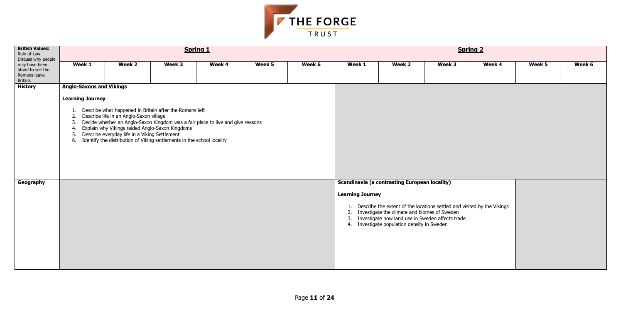

| <b>British Values:</b><br>Rule of Law.<br>Discuss why people   |                                                       |                                                                                          |                                                                                                                                                                                         | <b>Spring 1</b>                                                                 |        |        |                               |                                                                                                                                                                                                            |                                                                            | <b>Spring 2</b> |        |        |
|----------------------------------------------------------------|-------------------------------------------------------|------------------------------------------------------------------------------------------|-----------------------------------------------------------------------------------------------------------------------------------------------------------------------------------------|---------------------------------------------------------------------------------|--------|--------|-------------------------------|------------------------------------------------------------------------------------------------------------------------------------------------------------------------------------------------------------|----------------------------------------------------------------------------|-----------------|--------|--------|
| may have been<br>afraid to see the<br>Romans leave<br>Britain. | Week 1                                                | Week 2                                                                                   | Week 3                                                                                                                                                                                  | Week 4                                                                          | Week 5 | Week 6 | Week 1                        | Week 2                                                                                                                                                                                                     | Week 3                                                                     | Week 4          | Week 5 | Week 6 |
| <b>History</b>                                                 | <b>Anglo-Saxons and Vikings</b>                       |                                                                                          |                                                                                                                                                                                         |                                                                                 |        |        |                               |                                                                                                                                                                                                            |                                                                            |                 |        |        |
|                                                                | <b>Learning Journey</b><br>1.<br>2.<br>3.<br>4.<br>5. | Describe life in an Anglo-Saxon village<br>Describe everyday life in a Viking Settlement | Describe what happened in Britain after the Romans left<br>Explain why Vikings raided Anglo-Saxon Kingdoms<br>6. Identify the distribution of Viking settlements in the school locality | Decide whether an Anglo-Saxon Kingdom was a fair place to live and give reasons |        |        |                               |                                                                                                                                                                                                            |                                                                            |                 |        |        |
| Geography                                                      |                                                       |                                                                                          |                                                                                                                                                                                         |                                                                                 |        |        | <b>Learning Journey</b><br>3. | <b>Scandinavia (a contrasting European locality)</b><br>2. Investigate the climate and biomes of Sweden<br>Investigate how land use in Sweden affects trade<br>4. Investigate population density in Sweden | 1. Describe the extent of the locations settled and visited by the Vikings |                 |        |        |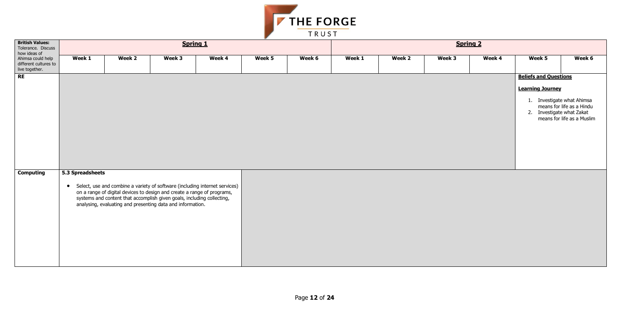| k 4 |    | Week 5                                                  | Week 6                                                                                                          |
|-----|----|---------------------------------------------------------|-----------------------------------------------------------------------------------------------------------------|
|     |    | <b>Beliefs and Questions</b><br><b>Learning Journey</b> |                                                                                                                 |
|     | 1. |                                                         | Investigate what Ahimsa<br>means for life as a Hindu<br>2. Investigate what Zakat<br>means for life as a Muslim |



| <b>British Values:</b><br>Tolerance. Discuss<br>how ideas of |                  |                                                                                                                                                                                                                                                                                                  |        | <b>Spring 1</b> |        |        | <b>Spring 2</b> |        |        |        |                                                                                                                    |                                                         |  |  |
|--------------------------------------------------------------|------------------|--------------------------------------------------------------------------------------------------------------------------------------------------------------------------------------------------------------------------------------------------------------------------------------------------|--------|-----------------|--------|--------|-----------------|--------|--------|--------|--------------------------------------------------------------------------------------------------------------------|---------------------------------------------------------|--|--|
| Ahimsa could help<br>different cultures to<br>live together. | Week 1           | Week 2                                                                                                                                                                                                                                                                                           | Week 3 | Week 4          | Week 5 | Week 6 | Week 1          | Week 2 | Week 3 | Week 4 | Week 5                                                                                                             | Week 6                                                  |  |  |
| RE                                                           |                  |                                                                                                                                                                                                                                                                                                  |        |                 |        |        |                 |        |        |        | <b>Beliefs and Questions</b><br><b>Learning Journey</b><br>1. Investigate what Ahimsa<br>2. Investigate what Zakat | means for life as a Hindu<br>means for life as a Muslir |  |  |
| <b>Computing</b>                                             | 5.3 Spreadsheets | • Select, use and combine a variety of software (including internet services)<br>on a range of digital devices to design and create a range of programs,<br>systems and content that accomplish given goals, including collecting,<br>analysing, evaluating and presenting data and information. |        |                 |        |        |                 |        |        |        |                                                                                                                    |                                                         |  |  |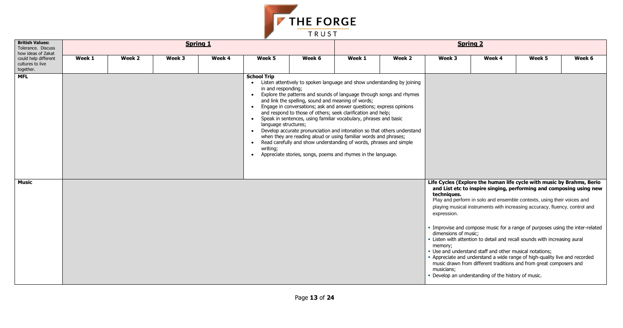

| <b>British Values:</b><br>Tolerance. Discuss<br>how ideas of Zakat |        |        | <b>Spring 1</b> |        |                                                                                                        |                                                                                                                                                                                                                                                                                                                                                                                                                                                                                                                                                                                                                                                                                                                 | <b>Spring 2</b> |        |                                                                             |                                                                                                                                                                                                                                                                                                                                                                                                                                                                                                                                                                                                                                                                                                                                          |        |        |  |  |
|--------------------------------------------------------------------|--------|--------|-----------------|--------|--------------------------------------------------------------------------------------------------------|-----------------------------------------------------------------------------------------------------------------------------------------------------------------------------------------------------------------------------------------------------------------------------------------------------------------------------------------------------------------------------------------------------------------------------------------------------------------------------------------------------------------------------------------------------------------------------------------------------------------------------------------------------------------------------------------------------------------|-----------------|--------|-----------------------------------------------------------------------------|------------------------------------------------------------------------------------------------------------------------------------------------------------------------------------------------------------------------------------------------------------------------------------------------------------------------------------------------------------------------------------------------------------------------------------------------------------------------------------------------------------------------------------------------------------------------------------------------------------------------------------------------------------------------------------------------------------------------------------------|--------|--------|--|--|
| could help different<br>cultures to live<br>together.              | Week 1 | Week 2 | Week 3          | Week 4 | Week 5                                                                                                 | Week 6                                                                                                                                                                                                                                                                                                                                                                                                                                                                                                                                                                                                                                                                                                          | Week 1          | Week 2 | Week 3                                                                      | Week 4                                                                                                                                                                                                                                                                                                                                                                                                                                                                                                                                                                                                                                                                                                                                   | Week 5 | Week 6 |  |  |
| <b>MFL</b>                                                         |        |        |                 |        | <b>School Trip</b><br>in and responding;<br>language structures;<br>$\bullet$<br>writing;<br>$\bullet$ | • Listen attentively to spoken language and show understanding by joining<br>• Explore the patterns and sounds of language through songs and rhymes<br>and link the spelling, sound and meaning of words;<br>• Engage in conversations; ask and answer questions; express opinions<br>and respond to those of others; seek clarification and help;<br>• Speak in sentences, using familiar vocabulary, phrases and basic<br>• Develop accurate pronunciation and intonation so that others understand<br>when they are reading aloud or using familiar words and phrases;<br>Read carefully and show understanding of words, phrases and simple<br>Appreciate stories, songs, poems and rhymes in the language. |                 |        |                                                                             |                                                                                                                                                                                                                                                                                                                                                                                                                                                                                                                                                                                                                                                                                                                                          |        |        |  |  |
| <b>Music</b>                                                       |        |        |                 |        |                                                                                                        |                                                                                                                                                                                                                                                                                                                                                                                                                                                                                                                                                                                                                                                                                                                 |                 |        | techniques.<br>expression.<br>dimensions of music;<br>memory;<br>musicians; | Life Cycles (Explore the human life cycle with music by Brahms, Berio<br>and List etc to inspire singing, performing and composing using new<br>Play and perform in solo and ensemble contexts, using their voices and<br>playing musical instruments with increasing accuracy, fluency, control and<br>. Improvise and compose music for a range of purposes using the inter-related<br>. Listen with attention to detail and recall sounds with increasing aural<br>. Use and understand staff and other musical notations;<br>- Appreciate and understand a wide range of high-quality live and recorded<br>music drawn from different traditions and from great composers and<br>- Develop an understanding of the history of music. |        |        |  |  |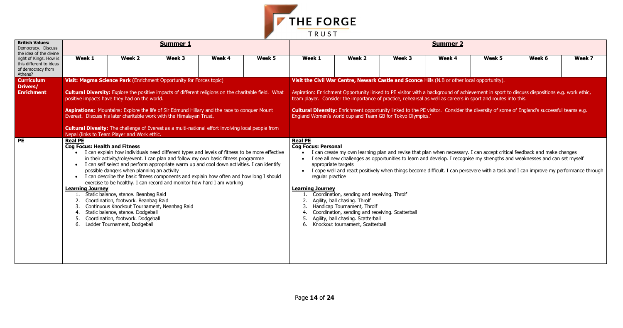| k 5              | Week 6                                                                          | Week 7 |
|------------------|---------------------------------------------------------------------------------|--------|
| nity).           |                                                                                 |        |
| outes into this. | sport to discuss dispositions e.g. work ethic,                                  |        |
|                  | of some of England's successful teams e.g.                                      |        |
|                  |                                                                                 |        |
|                  |                                                                                 |        |
|                  |                                                                                 |        |
|                  | ot critical feedback and make changes<br>gths and weaknesses and can set myself |        |
|                  | a task and I can improve my performance through                                 |        |
|                  |                                                                                 |        |
|                  |                                                                                 |        |
|                  |                                                                                 |        |
|                  |                                                                                 |        |
|                  |                                                                                 |        |
|                  |                                                                                 |        |
|                  |                                                                                 |        |
|                  |                                                                                 |        |



| <b>British Values:</b><br>Democracy. Discuss<br>the idea of the divine            |                                                                                   |                                                                                                                                                                                                                                                                                                                                                                                                                                                                                                                                                                                                                                                                                                                                                                                                        | <b>Summer 1</b> |        |        | <b>Summer 2</b>                                                                                                                                                                                                                                                                                                                                                                                                                                                                                                                                                            |                                                                                                                               |        |        |        |                                                                                                                                                                                                                                                                                                                                                                                             |        |  |  |
|-----------------------------------------------------------------------------------|-----------------------------------------------------------------------------------|--------------------------------------------------------------------------------------------------------------------------------------------------------------------------------------------------------------------------------------------------------------------------------------------------------------------------------------------------------------------------------------------------------------------------------------------------------------------------------------------------------------------------------------------------------------------------------------------------------------------------------------------------------------------------------------------------------------------------------------------------------------------------------------------------------|-----------------|--------|--------|----------------------------------------------------------------------------------------------------------------------------------------------------------------------------------------------------------------------------------------------------------------------------------------------------------------------------------------------------------------------------------------------------------------------------------------------------------------------------------------------------------------------------------------------------------------------------|-------------------------------------------------------------------------------------------------------------------------------|--------|--------|--------|---------------------------------------------------------------------------------------------------------------------------------------------------------------------------------------------------------------------------------------------------------------------------------------------------------------------------------------------------------------------------------------------|--------|--|--|
| right of Kings. How is<br>this different to ideas<br>of democracy from<br>Athens? | Week 1                                                                            | Week 2                                                                                                                                                                                                                                                                                                                                                                                                                                                                                                                                                                                                                                                                                                                                                                                                 | Week 3          | Week 4 | Week 5 | Week 1                                                                                                                                                                                                                                                                                                                                                                                                                                                                                                                                                                     | Week 2                                                                                                                        | Week 3 | Week 4 | Week 5 | Week 6                                                                                                                                                                                                                                                                                                                                                                                      | Week 7 |  |  |
| <b>Curriculum</b><br>Drivers/<br><b>Enrichment</b>                                |                                                                                   | Visit: Magma Science Park (Enrichment Opportunity for Forces topic)<br><b>Cultural Diversity:</b> Explore the positive impacts of different religions on the charitable field. What<br>positive impacts have they had on the world.<br>Aspirations: Mountains: Explore the life of Sir Edmund Hillary and the race to conquer Mount<br>Everest. Discuss his later charitable work with the Himalayan Trust.                                                                                                                                                                                                                                                                                                                                                                                            |                 |        |        | Visit the Civil War Centre, Newark Castle and Sconce Hills (N.B or other local opportunity).<br>Aspiration: Enrichment Opportunity linked to PE visitor with a background of achievement in sport to discuss dispositions e.g. work ethic,<br>team player. Consider the importance of practice, rehearsal as well as careers in sport and routes into this.<br><b>Cultural Diversity:</b> Enrichment opportunity linked to the PE visitor. Consider the diversity of some of England's successful teams e.g.<br>England Women's world cup and Team GB for Tokyo Olympics.' |                                                                                                                               |        |        |        |                                                                                                                                                                                                                                                                                                                                                                                             |        |  |  |
| <b>PE</b>                                                                         | <b>Real PE</b><br><b>Cog Focus: Health and Fitness</b><br><b>Learning Journey</b> | <b>Cultural Divesity:</b> The challenge of Everest as a multi-national effort involving local people from<br>Nepal (links to Team Player and Work ethic.<br>• I can explain how individuals need different types and levels of fitness to be more effective<br>in their activity/role/event. I can plan and follow my own basic fitness programme<br>• I can self select and perform appropriate warm up and cool down activities. I can identify<br>possible dangers when planning an activity<br>• I can describe the basic fitness components and explain how often and how long I should<br>exercise to be healthy. I can record and monitor how hard I am working<br>Static balance, stance. Beanbag Raid<br>Coordination, footwork. Beanbag Raid<br>Continuous Knockout Tournament, Neanbag Raid |                 |        |        | <b>Real PE</b><br><b>Cog Focus: Personal</b><br>appropriate targets<br>$\bullet$<br>regular practice<br><b>Learning Journey</b>                                                                                                                                                                                                                                                                                                                                                                                                                                            | Coordination, sending and receiving. Throlf<br>Agility, ball chasing. Throlf<br>Handicap Tournament, Throlf                   |        |        |        | I can create my own learning plan and revise that plan when necessary. I can accept critical feedback and make changes<br>I see all new challenges as opportunities to learn and develop. I recognise my strengths and weaknesses and can set myself<br>I cope well and react positively when things become difficult. I can persevere with a task and I can improve my performance through |        |  |  |
|                                                                                   |                                                                                   | Static balance, stance. Dodgeball<br>Coordination, footwork. Dodgeball<br>Ladder Tournament, Dodgeball                                                                                                                                                                                                                                                                                                                                                                                                                                                                                                                                                                                                                                                                                                 |                 |        |        |                                                                                                                                                                                                                                                                                                                                                                                                                                                                                                                                                                            | Coordination, sending and receiving. Scatterball<br>Agility, ball chasing. Scatterball<br>6. Knockout tournament, Scatterball |        |        |        |                                                                                                                                                                                                                                                                                                                                                                                             |        |  |  |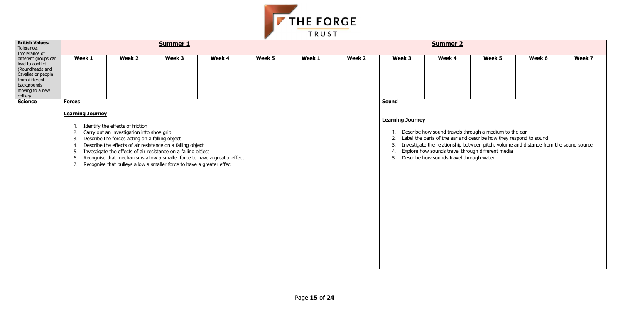

| <b>British Values:</b><br>Tolerance.<br>Intolerance of                                                                                              |                                                                                            |                                                                                                                                 | <b>Summer 1</b>                                                                                                                                                                                     |                                                                          |        | <b>Summer 2</b> |        |                                                                             |                                          |                                                                                                                                                                                  |                                                                                       |        |  |  |
|-----------------------------------------------------------------------------------------------------------------------------------------------------|--------------------------------------------------------------------------------------------|---------------------------------------------------------------------------------------------------------------------------------|-----------------------------------------------------------------------------------------------------------------------------------------------------------------------------------------------------|--------------------------------------------------------------------------|--------|-----------------|--------|-----------------------------------------------------------------------------|------------------------------------------|----------------------------------------------------------------------------------------------------------------------------------------------------------------------------------|---------------------------------------------------------------------------------------|--------|--|--|
| different groups can<br>lead to conflict.<br>(Roundheads and<br>Cavalies or people<br>from different<br>backgrounds<br>moving to a new<br>colliery. | Week 1                                                                                     | Week 2                                                                                                                          | Week 3                                                                                                                                                                                              | Week 4                                                                   | Week 5 | Week 1          | Week 2 | Week 3                                                                      | Week 4                                   | Week 5                                                                                                                                                                           | Week 6                                                                                | Week 7 |  |  |
| <b>Science</b>                                                                                                                                      | <b>Forces</b><br><b>Learning Journey</b><br>2.<br>3.<br>$\overline{4}$ .<br>.5<br>6.<br>7. | Identify the effects of friction<br>Carry out an investigation into shoe grip<br>Describe the forces acting on a falling object | Describe the effects of air resistance on a falling object<br>Investigate the effects of air resistance on a falling object<br>Recognise that pulleys allow a smaller force to have a greater effec | Recognise that mechanisms allow a smaller force to have a greater effect |        |                 |        | <b>Sound</b><br><b>Learning Journey</b><br>$\overline{2}$ .<br>3<br>4<br>5. | Describe how sounds travel through water | Describe how sound travels through a medium to the ear<br>Label the parts of the ear and describe how they respond to sound<br>Explore how sounds travel through different media | Investigate the relationship between pitch, volume and distance from the sound source |        |  |  |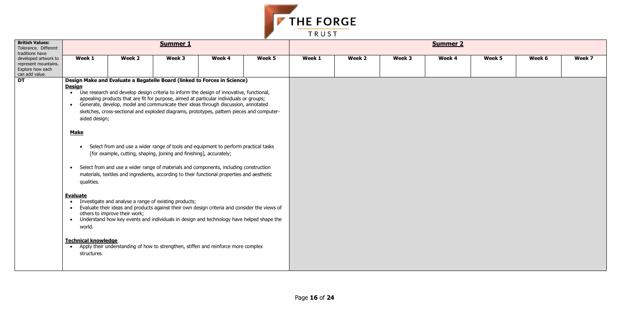

| <b>British Values:</b><br>Tolerance. Different<br>traditions have                  |                                                                                                                                                                                                                     |                                                                                                                                                                                                                                                                                                                                                                                                                                                                                                                                                                                                                                                                                                                                                                                                                                                                                                                                                                                                                                                                                                                                                                                           | <b>Summer 1</b> |        |        | <b>Summer 2</b> |        |        |        |        |        |        |  |  |
|------------------------------------------------------------------------------------|---------------------------------------------------------------------------------------------------------------------------------------------------------------------------------------------------------------------|-------------------------------------------------------------------------------------------------------------------------------------------------------------------------------------------------------------------------------------------------------------------------------------------------------------------------------------------------------------------------------------------------------------------------------------------------------------------------------------------------------------------------------------------------------------------------------------------------------------------------------------------------------------------------------------------------------------------------------------------------------------------------------------------------------------------------------------------------------------------------------------------------------------------------------------------------------------------------------------------------------------------------------------------------------------------------------------------------------------------------------------------------------------------------------------------|-----------------|--------|--------|-----------------|--------|--------|--------|--------|--------|--------|--|--|
| developed artwork to<br>represent mountains.<br>Explore how each<br>can add value. | Week 1                                                                                                                                                                                                              | Week 2                                                                                                                                                                                                                                                                                                                                                                                                                                                                                                                                                                                                                                                                                                                                                                                                                                                                                                                                                                                                                                                                                                                                                                                    | Week 3          | Week 4 | Week 5 | Week 1          | Week 2 | Week 3 | Week 4 | Week 5 | Week 6 | Week 7 |  |  |
| DT                                                                                 | <b>Design</b><br>aided design;<br><b>Make</b><br>$\bullet$<br>$\bullet$<br>qualities.<br><b>Evaluate</b><br>$\bullet$<br>$\bullet$<br>$\bullet$<br>world.<br><b>Technical knowledge</b><br>$\bullet$<br>structures. | Design Make and Evaluate a Bagatelle Board (linked to Forces in Science)<br>• Use research and develop design criteria to inform the design of innovative, functional,<br>appealing products that are fit for purpose, aimed at particular individuals or groups;<br>• Generate, develop, model and communicate their ideas through discussion, annotated<br>sketches, cross-sectional and exploded diagrams, prototypes, pattern pieces and computer-<br>Select from and use a wider range of tools and equipment to perform practical tasks<br>[for example, cutting, shaping, joining and finishing], accurately;<br>Select from and use a wider range of materials and components, including construction<br>materials, textiles and ingredients, according to their functional properties and aesthetic<br>Investigate and analyse a range of existing products;<br>Evaluate their ideas and products against their own design criteria and consider the views of<br>others to improve their work;<br>Understand how key events and individuals in design and technology have helped shape the<br>Apply their understanding of how to strengthen, stiffen and reinforce more complex |                 |        |        |                 |        |        |        |        |        |        |  |  |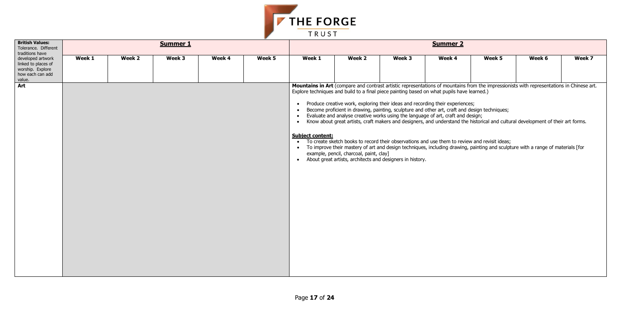| ek 5 | Week 6                                            | Week 7 |
|------|---------------------------------------------------|--------|
|      |                                                   |        |
|      | pressionists with representations in Chinese art. |        |



| <b>British Values:</b><br>Tolerance. Different<br>traditions have                          |        |        | <b>Summer 1</b> |        |        | <b>Summer 2</b>                                                                                                    |                                                                                                      |        |                                                                                                                                                                                                                                                                                                                                                                                                                                                                                                                                                                                                                                                                                                                                                                                                                                                                                      |        |        |        |  |  |
|--------------------------------------------------------------------------------------------|--------|--------|-----------------|--------|--------|--------------------------------------------------------------------------------------------------------------------|------------------------------------------------------------------------------------------------------|--------|--------------------------------------------------------------------------------------------------------------------------------------------------------------------------------------------------------------------------------------------------------------------------------------------------------------------------------------------------------------------------------------------------------------------------------------------------------------------------------------------------------------------------------------------------------------------------------------------------------------------------------------------------------------------------------------------------------------------------------------------------------------------------------------------------------------------------------------------------------------------------------------|--------|--------|--------|--|--|
| developed artwork<br>linked to places of<br>worship. Explore<br>how each can add<br>value. | Week 1 | Week 2 | Week 3          | Week 4 | Week 5 | Week 1                                                                                                             | Week 2                                                                                               | Week 3 | Week 4                                                                                                                                                                                                                                                                                                                                                                                                                                                                                                                                                                                                                                                                                                                                                                                                                                                                               | Week 5 | Week 6 | Week 7 |  |  |
| Art                                                                                        |        |        |                 |        |        | $\bullet$<br>$\bullet$<br>$\bullet$<br>$\bullet$<br><b>Subject content:</b><br>$\bullet$<br>$\bullet$<br>$\bullet$ | example, pencil, charcoal, paint, clay]<br>About great artists, architects and designers in history. |        | Mountains in Art (compare and contrast artistic representations of mountains from the impressionists with representations in Chinese and<br>Explore techniques and build to a final piece painting based on what pupils have learned.)<br>Produce creative work, exploring their ideas and recording their experiences;<br>Become proficient in drawing, painting, sculpture and other art, craft and design techniques;<br>Evaluate and analyse creative works using the language of art, craft and design;<br>Know about great artists, craft makers and designers, and understand the historical and cultural development of their art forms.<br>To create sketch books to record their observations and use them to review and revisit ideas;<br>To improve their mastery of art and design techniques, including drawing, painting and sculpture with a range of materials [for |        |        |        |  |  |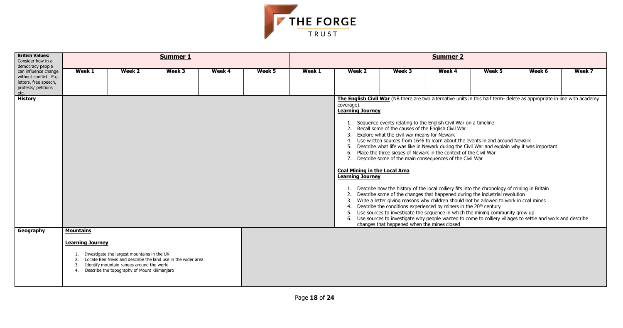

| <b>British Values:</b><br>Consider how in a<br>democracy people |                                     |                                                                                                                                                                                                          | <b>Summer 1</b> |        |        | <b>Summer 2</b> |                                                                                                                                                          |                                                                                                                                                                                                                                                                                                                                                                                                                                                                                                                                                                                                                                                                                                                                                                                                                                                                                                                                                                                             |        |        |                                                                                                                                                                                                                                      |        |  |  |
|-----------------------------------------------------------------|-------------------------------------|----------------------------------------------------------------------------------------------------------------------------------------------------------------------------------------------------------|-----------------|--------|--------|-----------------|----------------------------------------------------------------------------------------------------------------------------------------------------------|---------------------------------------------------------------------------------------------------------------------------------------------------------------------------------------------------------------------------------------------------------------------------------------------------------------------------------------------------------------------------------------------------------------------------------------------------------------------------------------------------------------------------------------------------------------------------------------------------------------------------------------------------------------------------------------------------------------------------------------------------------------------------------------------------------------------------------------------------------------------------------------------------------------------------------------------------------------------------------------------|--------|--------|--------------------------------------------------------------------------------------------------------------------------------------------------------------------------------------------------------------------------------------|--------|--|--|
| can influence change<br>without conflict. E.g.                  | Week 1                              | Week 2                                                                                                                                                                                                   | Week 3          | Week 4 | Week 5 | Week 1          | Week 2                                                                                                                                                   | Week 3                                                                                                                                                                                                                                                                                                                                                                                                                                                                                                                                                                                                                                                                                                                                                                                                                                                                                                                                                                                      | Week 4 | Week 5 | Week 6                                                                                                                                                                                                                               | Week 7 |  |  |
| letters, free speech,<br>protests/ petitions                    |                                     |                                                                                                                                                                                                          |                 |        |        |                 |                                                                                                                                                          |                                                                                                                                                                                                                                                                                                                                                                                                                                                                                                                                                                                                                                                                                                                                                                                                                                                                                                                                                                                             |        |        |                                                                                                                                                                                                                                      |        |  |  |
| etc.<br><b>History</b>                                          |                                     |                                                                                                                                                                                                          |                 |        |        |                 | coverage).<br><b>Learning Journey</b><br>3.<br>5.<br>7.<br><b>Coal Mining in the Local Area</b><br><b>Learning Journey</b><br>2.<br>3.<br>4.<br>5.<br>6. | 1. Sequence events relating to the English Civil War on a timeline<br>2. Recall some of the causes of the English Civil War<br>Explore what the civil war means for Newark<br>4. Use written sources from 1646 to learn about the events in and around Newark<br>Describe what life was like in Newark during the Civil War and explain why it was important<br>6. Place the three sieges of Newark in the context of the Civil War<br>Describe some of the main consequences of the Civil War<br>1. Describe how the history of the local colliery fits into the chronology of mining in Britain<br>Describe some of the changes that happened during the industrial revolution<br>Write a letter giving reasons why children should not be allowed to work in coal mines<br>Describe the conditions experienced by miners in the 20 <sup>th</sup> century<br>Use sources to investigate the sequence in which the mining community grew up<br>changes that happened when the mines closed |        |        | The English Civil War (NB there are two alternative units in this half term- delete as appropriate in line with academy<br>Use sources to investigate why people wanted to come to colliery villages to settle and work and describe |        |  |  |
| Geography                                                       | <b>Mountains</b>                    |                                                                                                                                                                                                          |                 |        |        |                 |                                                                                                                                                          |                                                                                                                                                                                                                                                                                                                                                                                                                                                                                                                                                                                                                                                                                                                                                                                                                                                                                                                                                                                             |        |        |                                                                                                                                                                                                                                      |        |  |  |
|                                                                 | <b>Learning Journey</b><br>3.<br>4. | Investigate the largest mountains in the UK<br>Locate Ben Nevis and describe the land use in the wider area<br>Identify mountain ranges around the world<br>Describe the topography of Mount Kilimanjaro |                 |        |        |                 |                                                                                                                                                          |                                                                                                                                                                                                                                                                                                                                                                                                                                                                                                                                                                                                                                                                                                                                                                                                                                                                                                                                                                                             |        |        |                                                                                                                                                                                                                                      |        |  |  |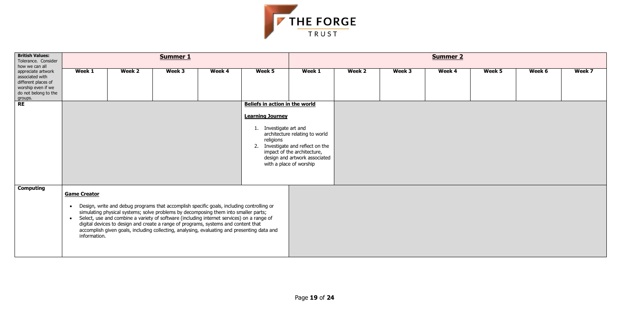

| <b>British Values:</b><br>Tolerance. Consider<br>how we can all                                                       |                                                               |                                                                                                                                                                                                                                                                                                                                                                                                                                                                    | Summer 1 |        |                                                                                                                                    | <b>Summer 2</b>                                                                                                                     |        |        |        |        |        |        |  |  |  |
|-----------------------------------------------------------------------------------------------------------------------|---------------------------------------------------------------|--------------------------------------------------------------------------------------------------------------------------------------------------------------------------------------------------------------------------------------------------------------------------------------------------------------------------------------------------------------------------------------------------------------------------------------------------------------------|----------|--------|------------------------------------------------------------------------------------------------------------------------------------|-------------------------------------------------------------------------------------------------------------------------------------|--------|--------|--------|--------|--------|--------|--|--|--|
| appreciate artwork<br>associated with<br>different places of<br>worship even if we<br>do not belong to the<br>groups. | Week 1                                                        | Week 2                                                                                                                                                                                                                                                                                                                                                                                                                                                             | Week 3   | Week 4 | Week 5                                                                                                                             | Week 1                                                                                                                              | Week 2 | Week 3 | Week 4 | Week 5 | Week 6 | Week 7 |  |  |  |
| <b>RE</b>                                                                                                             |                                                               |                                                                                                                                                                                                                                                                                                                                                                                                                                                                    |          |        | <b>Beliefs in action in the world</b><br><b>Learning Journey</b><br>1. Investigate art and<br>religions<br>with a place of worship | architecture relating to world<br>2. Investigate and reflect on the<br>impact of the architecture,<br>design and artwork associated |        |        |        |        |        |        |  |  |  |
| <b>Computing</b>                                                                                                      | <b>Game Creator</b><br>$\bullet$<br>$\bullet$<br>information. | Design, write and debug programs that accomplish specific goals, including controlling or<br>simulating physical systems; solve problems by decomposing them into smaller parts;<br>Select, use and combine a variety of software (including internet services) on a range of<br>digital devices to design and create a range of programs, systems and content that<br>accomplish given goals, including collecting, analysing, evaluating and presenting data and |          |        |                                                                                                                                    |                                                                                                                                     |        |        |        |        |        |        |  |  |  |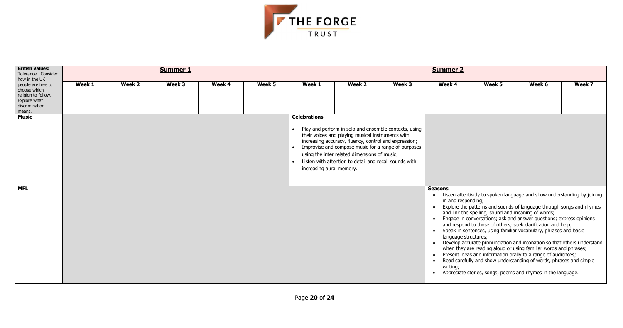

| <b>British Values:</b><br>Tolerance. Consider<br>how in the UK<br>people are free to<br>choose which<br>religion to follow.<br>Explore what<br>discrimination<br>means. |                                                                                                                                                                                                                                                                                                                                                                                         |        | <b>Summer 1</b> |        |        | <b>Summer 2</b> |        |        |                                                                                       |                                                    |                                                                                                                                                                                                                                                                                                                                                                                                                                                                                                                                                                                                                                                                                                                  |        |  |
|-------------------------------------------------------------------------------------------------------------------------------------------------------------------------|-----------------------------------------------------------------------------------------------------------------------------------------------------------------------------------------------------------------------------------------------------------------------------------------------------------------------------------------------------------------------------------------|--------|-----------------|--------|--------|-----------------|--------|--------|---------------------------------------------------------------------------------------|----------------------------------------------------|------------------------------------------------------------------------------------------------------------------------------------------------------------------------------------------------------------------------------------------------------------------------------------------------------------------------------------------------------------------------------------------------------------------------------------------------------------------------------------------------------------------------------------------------------------------------------------------------------------------------------------------------------------------------------------------------------------------|--------|--|
|                                                                                                                                                                         | Week 1                                                                                                                                                                                                                                                                                                                                                                                  | Week 2 | Week 3          | Week 4 | Week 5 | Week 1          | Week 2 | Week 3 | Week 4                                                                                | Week 5                                             | Week 6                                                                                                                                                                                                                                                                                                                                                                                                                                                                                                                                                                                                                                                                                                           | Week 7 |  |
| <b>Music</b>                                                                                                                                                            | <b>Celebrations</b><br>Play and perform in solo and ensemble contexts, using<br>their voices and playing musical instruments with<br>increasing accuracy, fluency, control and expression;<br>Improvise and compose music for a range of purposes<br>using the inter related dimensions of music;<br>Listen with attention to detail and recall sounds with<br>increasing aural memory. |        |                 |        |        |                 |        |        |                                                                                       |                                                    |                                                                                                                                                                                                                                                                                                                                                                                                                                                                                                                                                                                                                                                                                                                  |        |  |
| <b>MFL</b>                                                                                                                                                              |                                                                                                                                                                                                                                                                                                                                                                                         |        |                 |        |        |                 |        |        | <b>Seasons</b><br>in and responding;<br>language structures;<br>writing;<br>$\bullet$ | and link the spelling, sound and meaning of words; | Listen attentively to spoken language and show understanding by joining<br>Explore the patterns and sounds of language through songs and rhymes<br>Engage in conversations; ask and answer questions; express opinions<br>and respond to those of others; seek clarification and help;<br>Speak in sentences, using familiar vocabulary, phrases and basic<br>Develop accurate pronunciation and intonation so that others understand<br>when they are reading aloud or using familiar words and phrases;<br>Present ideas and information orally to a range of audiences;<br>Read carefully and show understanding of words, phrases and simple<br>Appreciate stories, songs, poems and rhymes in the language. |        |  |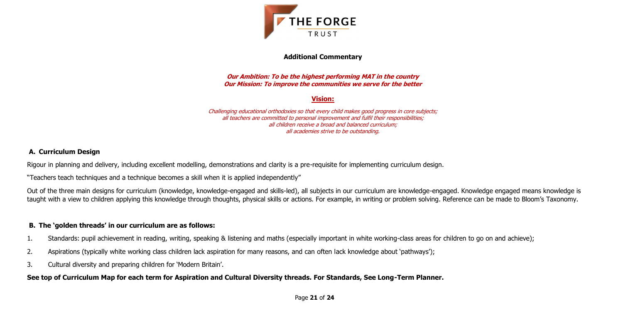Page **21** of **24**



### **Additional Commentary**

**Our Ambition: To be the highest performing MAT in the country Our Mission: To improve the communities we serve for the better**

# **Vision:**

Challenging educational orthodoxies so that every child makes good progress in core subjects; all teachers are committed to personal improvement and fulfil their responsibilities; all children receive a broad and balanced curriculum; all academies strive to be outstanding.

# **A. Curriculum Design**

Rigour in planning and delivery, including excellent modelling, demonstrations and clarity is a pre-requisite for implementing curriculum design.

"Teachers teach techniques and a technique becomes a skill when it is applied independently"

Out of the three main designs for curriculum (knowledge, knowledge-engaged and skills-led), all subjects in our curriculum are knowledge-engaged. Knowledge engaged means knowledge is taught with a view to children applying this knowledge through thoughts, physical skills or actions. For example, in writing or problem solving. Reference can be made to Bloom's Taxonomy.

# **B. The 'golden threads' in our curriculum are as follows:**

- 1. Standards: pupil achievement in reading, writing, speaking & listening and maths (especially important in white working-class areas for children to go on and achieve);
- 2. Aspirations (typically white working class children lack aspiration for many reasons, and can often lack knowledge about 'pathways');
- 3. Cultural diversity and preparing children for 'Modern Britain'.

# **See top of Curriculum Map for each term for Aspiration and Cultural Diversity threads. For Standards, See Long-Term Planner.**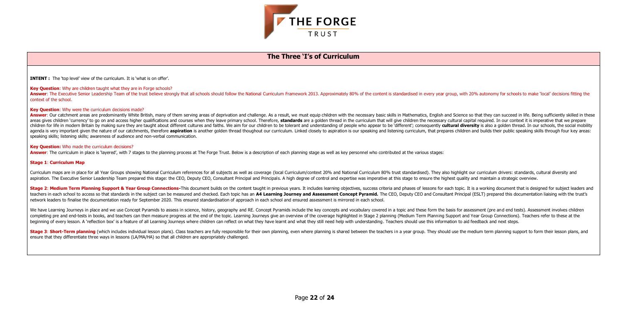



### **The Three 'I's of Curriculum**

**INTENT :** The 'top level' view of the curriculum. It is 'what is on offer'.

#### **Key Question:** Why are children taught what they are in Forge schools?

Answer: The Executive Senior Leadership Team of the trust believe strongly that all schools should follow the National Curriculum Framework 2013. Approximately 80% of the content is standardised in every year group, with 2 context of the school.

#### **Key Question:** Why were the curriculum decisions made?

Answer: Our catchment areas are predominantly White British, many of them serving areas of deprivation and challenge. As a result, we must equip children with the necessary basic skills in Mathematics, English and Science areas gives children 'currency' to go on and access higher qualifications and courses when they leave primary school. Therefore, standards are a golden thread in the curriculum that will give children the necessary cultura children for life in modern Britain by making sure they are taught about different cultures and faiths. We aim for our children to be tolerant and understanding of people who appear to be 'different': consequently cultural agenda is very important given the nature of our catchments, therefore aspiration is another golden thread thoughout our curriculum. Linked closely to aspiration is our speaking and listening curriculum, that prepares chil speaking skills; listening skills; awareness of audience and non-verbal communication.

Stage 2: Medium Term Planning Support & Year Group Connections-This document builds on the content taught in previous years. It includes learning objectives, success criteria and phases of lessons for each topic. It is a w teachers in each school to access so that standards in the subject can be measured and checked. Each topic has an A4 Learning Journey and Assessment Concept Pyramid. The CEO, Deputy CEO and Consultant Principal (ESLT) prep network leaders to finalise the documentation ready for September 2020. This ensured standardisation of approach in each school and ensured assessment is mirrored in each school.

We have Learning Journeys in place and we use Concept Pyramids to assess in science, history, geography and RE. Concept Pyramids include the key concepts and vocabulary covered in a topic and these form the basis for asses completing pre and end-tests in books, and teachers can then measure progress at the end of the topic. Learning Journeys give an overview of the coverage highlighted in Stage 2 planning (Medium Term Planning Support and Ye beginning of every lesson. A 'reflection box' is a feature of all Learning Journeys where children can reflect on what they have learnt and what they still need help with understanding. Teachers should use this information

#### **Key Question:** Who made the curriculum decisions?

**Answer:** The curriculum in place is 'layered', with 7 stages to the planning process at The Forge Trust. Below is a description of each planning stage as well as key personnel who contributed at the various stages:

#### **Stage 1**: **Curriculum Map**

Curriculum maps are in place for all Year Groups showing National Curriculum references for all subjects as well as coverage (local Curriculum/context 20% and National Curriculum 80% trust standardised). They also highligh aspiration. The Executive Senior Leadership Team prepared this stage: the CEO. Deputy CEO. Consultant Principal and Principals. A high degree of control and expertise was imperative at this stage to ensure the highest qual

Stage 3: Short-Term planning (which includes individual lesson plans). Class teachers are fully responsible for their own planning, even where planning is shared between the teachers in a year group. They should use the me ensure that they differentiate three ways in lessons (LA/MA/HA) so that all children are appropriately challenged.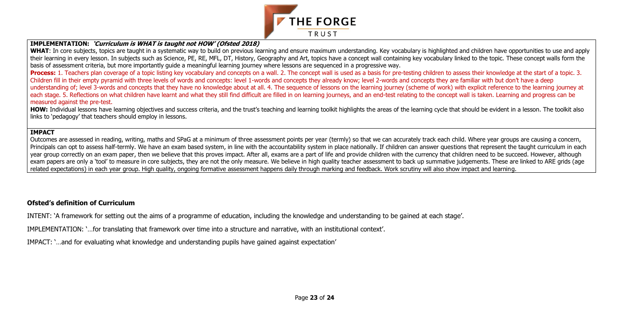

### **IMPLEMENTATION: 'Curriculum is WHAT is taught not HOW' (Ofsted 2018)**

WHAT: In core subjects, topics are taught in a systematic way to build on previous learning and ensure maximum understanding. Key vocabulary is highlighted and children have opportunities to use and apply their learning in every lesson. In subjects such as Science, PE, RE, MFL, DT, History, Geography and Art, topics have a concept wall containing key vocabulary linked to the topic. These concept walls form the basis of assessment criteria, but more importantly guide a meaningful learning journey where lessons are sequenced in a progressive way.

**Process:** 1. Teachers plan coverage of a topic listing key vocabulary and concepts on a wall. 2. The concept wall is used as a basis for pre-testing children to assess their knowledge at the start of a topic. 3. Children fill in their empty pyramid with three levels of words and concepts: level 1-words and concepts they already know; level 2-words and concepts they are familiar with but don't have a deep understanding of; level 3-words and concepts that they have no knowledge about at all. 4. The sequence of lessons on the learning journey (scheme of work) with explicit reference to the learning journey at each stage. 5. Reflections on what children have learnt and what they still find difficult are filled in on learning journeys, and an end-test relating to the concept wall is taken. Learning and progress can be measured against the pre-test.

HOW: Individual lessons have learning objectives and success criteria, and the trust's teaching and learning toolkit highlights the areas of the learning cycle that should be evident in a lesson. The toolkit also links to 'pedagogy' that teachers should employ in lessons.

Outcomes are assessed in reading, writing, maths and SPaG at a minimum of three assessment points per year (termly) so that we can accurately track each child. Where year groups are causing a concern, Principals can opt to assess half-termly. We have an exam based system, in line with the accountability system in place nationally. If children can answer questions that represent the taught curriculum in each year group correctly on an exam paper, then we believe that this proves impact. After all, exams are a part of life and provide children with the currency that children need to be succeed. However, although exam papers are only a 'tool' to measure in core subjects, they are not the only measure. We believe in high quality teacher assessment to back up summative judgements. These are linked to ARE grids (age related expectations) in each year group. High quality, ongoing formative assessment happens daily through marking and feedback. Work scrutiny will also show impact and learning.

#### **IMPACT**

# **Ofsted's definition of Curriculum**

INTENT: 'A framework for setting out the aims of a programme of education, including the knowledge and understanding to be gained at each stage'.

IMPLEMENTATION: '…for translating that framework over time into a structure and narrative, with an institutional context'.

IMPACT: '…and for evaluating what knowledge and understanding pupils have gained against expectation'